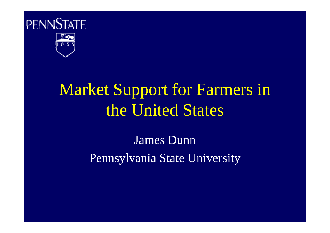



# Market Support for Farmers in the United States

James DunnPennsylvania State University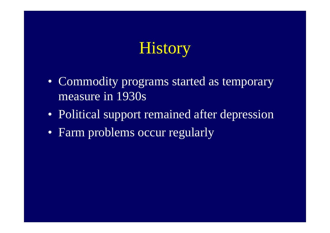# **History**

- Commodity programs started as temporary measure in 1930s
- Political support remained after depression
- Farm problems occur regularly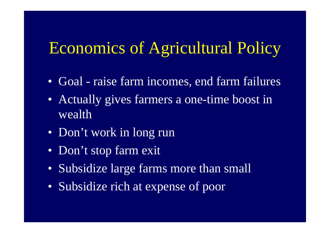## Economics of Agricultural Policy

- Goal raise farm incomes, end farm failures
- Actually gives farmers a one-time boost in wealth
- Don't work in long run
- Don't stop farm exit
- Subsidize large farms more than small
- Subsidize rich at expense of poor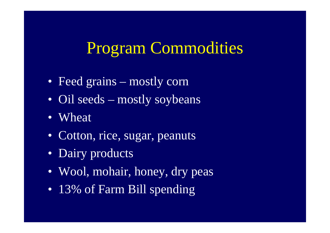### Program Commodities

- Feed grains mostly corn
- Oil seeds mostly soybeans
- Wheat
- Cotton, rice, sugar, peanuts
- Dairy products
- Wool, mohair, honey, dry peas
- 13% of Farm Bill spending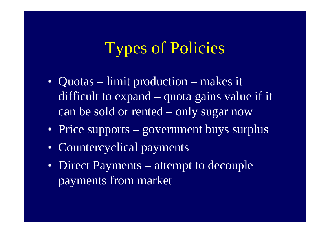### Types of Policies

- Quotas limit production makes it difficult to expand – quota gains value if it can be sold or rented – only sugar now
- Price supports government buys surplus
- Countercyclical payments
- Direct Payments attempt to decouple payments from market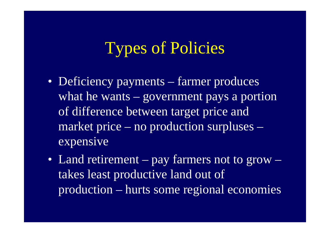### Types of Policies

- Deficiency payments farmer produces what he wants – government pays a portion of difference between target price and market price – no production surpluses –expensive
- Land retirement pay farmers not to grow –takes least productive land out of production – hurts some regional economies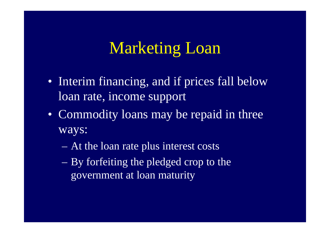### Marketing Loan

- Interim financing, and if prices fall below loan rate, income support
- Commodity loans may be repaid in three ways:
	- $\mathcal{L}_{\mathcal{A}}$ At the loan rate plus interest costs
	- $\mathcal{L}_{\mathcal{A}}$  By forfeiting the pledged crop to the government at loan maturity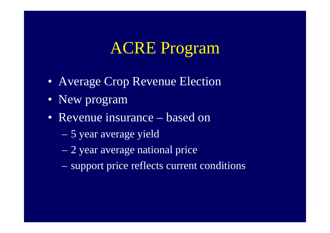### ACRE Program

- Average Crop Revenue Election
- New program
- Revenue insurance based on
	- $\mathcal{L}_{\mathcal{A}}$ 5 year average yield
	- –2 year average national price
	- $\mathcal{L}_{\mathcal{A}}$ support price reflects current conditions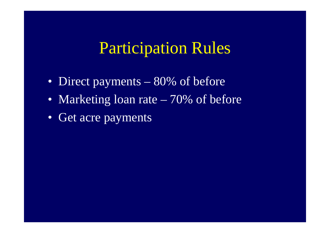#### Participation Rules

- Direct payments 80% of before
- Marketing loan rate 70% of before
- Get acre payments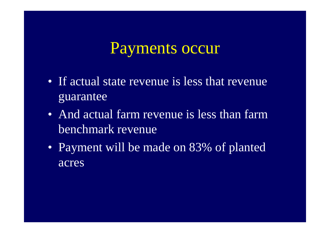#### Payments occur

- If actual state revenue is less that revenue guarantee
- And actual farm revenue is less than farm benchmark revenue
- Payment will be made on 83% of planted acres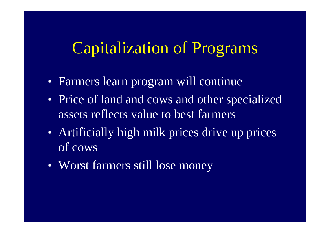#### Capitalization of Programs

- Farmers learn program will continue
- Price of land and cows and other specialized assets reflects value to best farmers
- Artificially high milk prices drive up prices of cows
- Worst farmers still lose money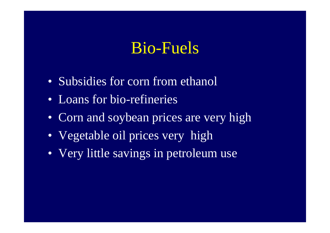### Bio-Fuels

- Subsidies for corn from ethanol
- Loans for bio-refineries
- Corn and soybean prices are very high
- Vegetable oil prices very high
- Very little savings in petroleum use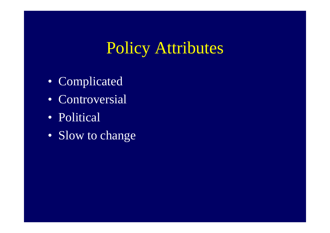## Policy Attributes

- Complicated
- Controversial
- Political
- Slow to change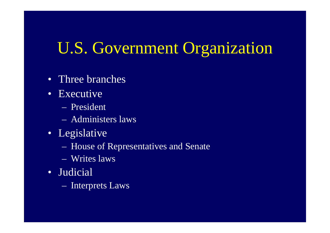## U.S. Government Organization

- Three branches
- Executive
	- President
	- Administers laws
- Legislative
	- House of Representatives and Senate
	- Writes laws
- Judicial
	- Interprets Laws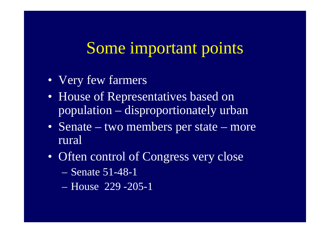#### Some important points

- Very few farmers
- House of Representatives based on population – disproportionately urban
- Senate two members per state more rural
- Often control of Congress very close
	- $\mathcal{L}_{\mathcal{A}}$ Senate 51-48-1
	- House 229 -205-1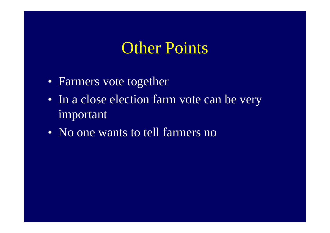#### **Other Points**

- Farmers vote together
- In a close election farm vote can be very important
- No one wants to tell farmers no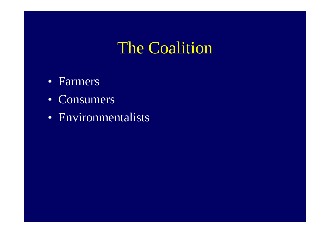### The Coalition

- Farmers
- Consumers
- Environmentalists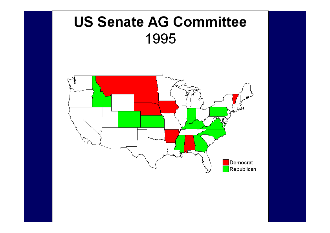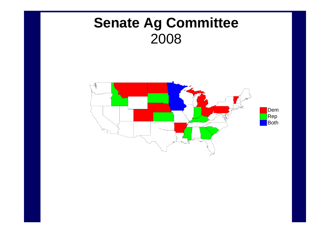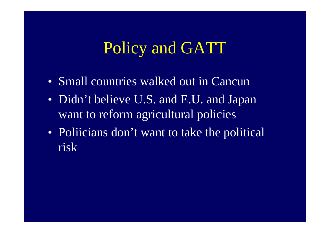### Policy and GATT

- Small countries walked out in Cancun
- Didn't believe U.S. and E.U. and Japan want to reform agricultural policies
- Poliicians don't want to take the political risk